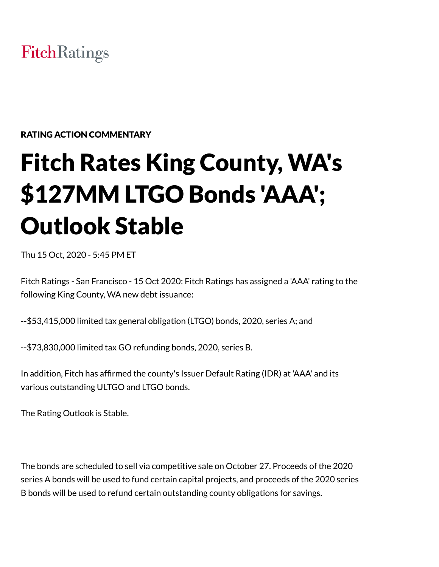# **FitchRatings**

# RATING ACTION COMMENTARY

# Fitch Rates King County, WA's \$127MM LTGO Bonds 'AAA'; Outlook Stable

Thu 15 Oct, 2020 - 5:45 PM ET

Fitch Ratings - San Francisco - 15 Oct 2020: Fitch Ratings has assigned a 'AAA' rating to the following King County, WA new debt issuance:

--\$53,415,000 limited tax general obligation (LTGO) bonds, 2020, series A; and

--\$73,830,000 limited tax GO refunding bonds, 2020, series B.

In addition, Fitch has affirmed the county's Issuer Default Rating (IDR) at 'AAA' and its various outstanding ULTGO and LTGO bonds.

The Rating Outlook is Stable.

The bonds are scheduled to sell via competitive sale on October 27. Proceeds of the 2020 series A bonds will be used to fund certain capital projects, and proceeds of the 2020 series B bonds will be used to refund certain outstanding county obligations for savings.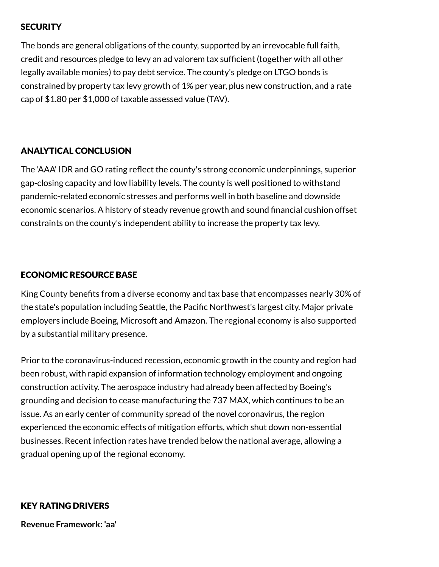# **SECURITY**

The bonds are general obligations of the county, supported by an irrevocable full faith, credit and resources pledge to levy an ad valorem tax sufficient (together with all other legally available monies) to pay debt service. The county's pledge on LTGO bonds is constrained by property tax levy growth of 1% per year, plus new construction, and a rate cap of \$1.80 per \$1,000 of taxable assessed value (TAV).

# ANALYTICAL CONCLUSION

The 'AAA' IDR and GO rating reflect the county's strong economic underpinnings, superior gap-closing capacity and low liability levels. The county is well positioned to withstand pandemic-related economic stresses and performs well in both baseline and downside economic scenarios. A history of steady revenue growth and sound financial cushion offset constraints on the county's independent ability to increase the property tax levy.

# ECONOMIC RESOURCE BASE

King County benefits from a diverse economy and tax base that encompasses nearly 30% of the state's population including Seattle, the Pacific Northwest's largest city. Major private employers include Boeing, Microsoft and Amazon. The regional economy is also supported by a substantial military presence.

Prior to the coronavirus-induced recession, economic growth in the county and region had been robust, with rapid expansion of information technology employment and ongoing construction activity. The aerospace industry had already been affected by Boeing's grounding and decision to cease manufacturing the 737 MAX, which continues to be an issue. As an early center of community spread of the novel coronavirus, the region experienced the economic effects of mitigation efforts, which shut down non-essential businesses. Recent infection rates have trended below the national average, allowing a gradual opening up of the regional economy.

# KEY RATING DRIVERS

**Revenue Framework: 'aa'**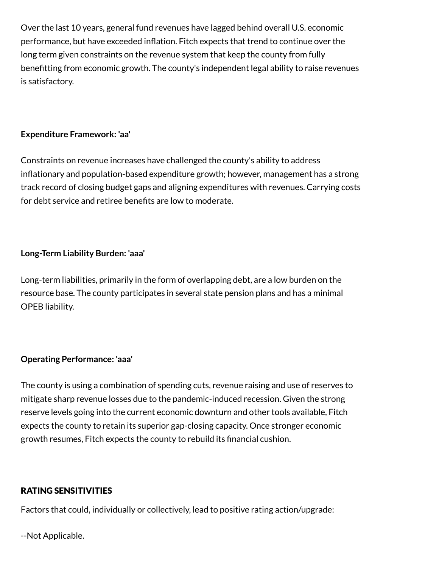Over the last 10 years, general fund revenues have lagged behind overall U.S. economic performance, but have exceeded inflation. Fitch expects that trend to continue over the long term given constraints on the revenue system that keep the county from fully benefitting from economic growth. The county's independent legal ability to raise revenues is satisfactory.

## **Expenditure Framework: 'aa'**

Constraints on revenue increases have challenged the county's ability to address inflationary and population-based expenditure growth; however, management has a strong track record of closing budget gaps and aligning expenditures with revenues. Carrying costs for debt service and retiree benefits are low to moderate.

# **Long-Term Liability Burden: 'aaa'**

Long-term liabilities, primarily in the form of overlapping debt, are a low burden on the resource base. The county participates in several state pension plans and has a minimal OPEB liability.

### **Operating Performance: 'aaa'**

The county is using a combination of spending cuts, revenue raising and use of reserves to mitigate sharp revenue losses due to the pandemic-induced recession. Given the strong reserve levels going into the current economic downturn and other tools available, Fitch expects the county to retain its superior gap-closing capacity. Once stronger economic growth resumes, Fitch expects the county to rebuild its financial cushion.

### RATING SENSITIVITIES

Factors that could, individually or collectively, lead to positive rating action/upgrade:

--Not Applicable.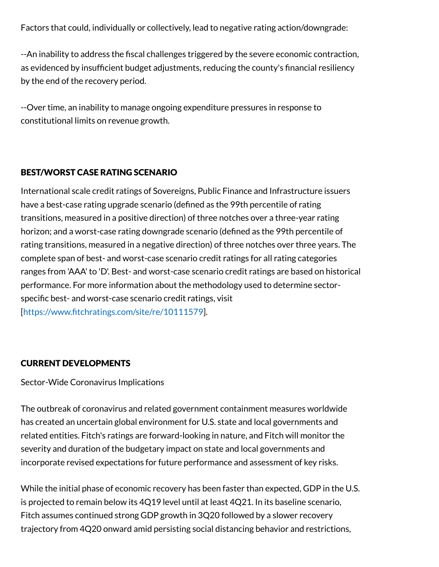Factors that could, individually or collectively, lead to negative rating action/downgrade:

--An inability to address the fiscal challenges triggered by the severe economic contraction, as evidenced by insufficient budget adjustments, reducing the county's financial resiliency by the end of the recovery period.

--Over time, an inability to manage ongoing expenditure pressures in response to constitutional limits on revenue growth.

# BEST/WORST CASE RATING SCENARIO

International scale credit ratings of Sovereigns, Public Finance and Infrastructure issuers have a best-case rating upgrade scenario (defined as the 99th percentile of rating transitions, measured in a positive direction) of three notches over a three-year rating horizon; and a worst-case rating downgrade scenario (defined as the 99th percentile of rating transitions, measured in a negative direction) of three notches over three years. The complete span of best- and worst-case scenario credit ratings for all rating categories ranges from 'AAA' to 'D'. Best- and worst-case scenario credit ratings are based on historical performance. For more information about the methodology used to determine sectorspecific best- and worst-case scenario credit ratings, visit [<https://www.fitchratings.com/site/re/10111579>].

### CURRENT DEVELOPMENTS

Sector-Wide Coronavirus Implications

The outbreak of coronavirus and related government containment measures worldwide has created an uncertain global environment for U.S. state and local governments and related entities. Fitch's ratings are forward-looking in nature, and Fitch will monitor the severity and duration of the budgetary impact on state and local governments and incorporate revised expectations for future performance and assessment of key risks.

While the initial phase of economic recovery has been faster than expected, GDP in the U.S. is projected to remain below its 4Q19 level until at least 4Q21. In its baseline scenario, Fitch assumes continued strong GDP growth in 3Q20 followed by a slower recovery trajectory from 4Q20 onward amid persisting social distancing behavior and restrictions,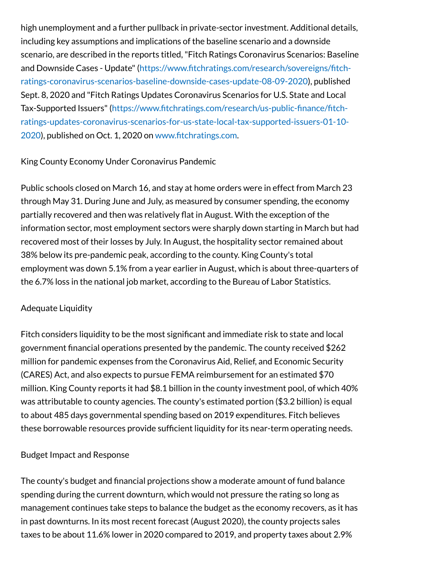high unemployment and a further pullback in private-sector investment. Additional details, including key assumptions and implications of the baseline scenario and a downside scenario, are described in the reports titled,"Fitch Ratings Coronavirus Scenarios: Baseline and Downside Cases - Update"(https://www.fitchratings.com/research/sovereigns/fitch[ratings-coronavirus-scenarios-baseline-downside-cases-update-08-09-2020\),](https://www.fitchratings.com/research/sovereigns/fitch-ratings-coronavirus-scenarios-baseline-downside-cases-update-08-09-2020) published Sept. 8, 2020 and "Fitch Ratings Updates Coronavirus Scenarios for U.S. State and Local Tax-Supported Issuers"(https://www.fitchratings.com/research/us-public-finance/fitch[ratings-updates-coronavirus-scenarios-for-us-state-local-tax-supported-issuers-01-10-](https://www.fitchratings.com/research/us-public-finance/fitch-ratings-updates-coronavirus-scenarios-for-us-state-local-tax-supported-issuers-01-10-2020) 2020), published on Oct. 1, 2020 on [www.fitchratings.com.](http://www.fitchratings.com/)

### King County Economy Under Coronavirus Pandemic

Public schools closed on March 16, and stay at home orders were in effect from March 23 through May 31. During June and July, as measured by consumer spending, the economy partially recovered and then was relatively flat in August. With the exception of the information sector, most employment sectors were sharply down starting in March but had recovered most of their losses by July. In August, the hospitality sector remained about 38% below its pre-pandemic peak, according to the county. King County's total employment was down 5.1% from a year earlier in August, which is about three-quarters of the 6.7% loss in the national job market, according to the Bureau of Labor Statistics.

### Adequate Liquidity

Fitch considers liquidity to be the most significant and immediate risk to state and local government financial operations presented by the pandemic. The county received \$262 million for pandemic expenses from the Coronavirus Aid, Relief, and Economic Security (CARES) Act, and also expects to pursue FEMA reimbursement for an estimated \$70 million. King County reports it had \$8.1 billion in the county investment pool, of which 40% was attributable to county agencies. The county's estimated portion (\$3.2 billion) is equal to about 485 days governmental spending based on 2019 expenditures. Fitch believes these borrowable resources provide sufficient liquidity for its near-term operating needs.

### Budget Impact and Response

The county's budget and financial projections show a moderate amount of fund balance spending during the current downturn, which would not pressure the rating so long as management continues take steps to balance the budget as the economy recovers, as it has in past downturns. In its most recent forecast (August 2020), the county projects sales taxes to be about 11.6% lower in 2020 compared to 2019, and property taxes about 2.9%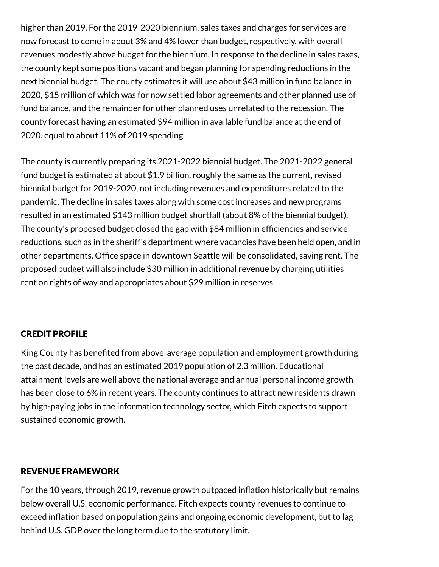higher than 2019. For the 2019-2020 biennium, sales taxes and charges for services are now forecast to come in about 3% and 4% lower than budget, respectively, with overall revenues modestly above budget for the biennium. In response to the decline in sales taxes, the county kept some positions vacant and began planning for spending reductions in the next biennial budget. The county estimates it will use about \$43 million in fund balance in 2020, \$15 million of which was for now settled labor agreements and other planned use of fund balance, and the remainder for other planned uses unrelated to the recession. The county forecast having an estimated \$94 million in available fund balance at the end of 2020, equal to about 11% of 2019 spending.

The county is currently preparing its 2021-2022 biennial budget. The 2021-2022 general fund budget is estimated at about \$1.9 billion, roughly the same as the current, revised biennial budget for 2019-2020, not including revenues and expenditures related to the pandemic. The decline in sales taxes along with some cost increases and new programs resulted in an estimated \$143 million budget shortfall (about 8% of the biennial budget). The county's proposed budget closed the gap with \$84 million in efficiencies and service reductions, such as in the sheriff's department where vacancies have been held open, and in other departments. Office space in downtown Seattle will be consolidated, saving rent. The proposed budget will also include \$30 million in additional revenue by charging utilities rent on rights of way and appropriates about \$29 million in reserves.

# CREDIT PROFILE

King County has benefited from above-average population and employment growth during the past decade, and has an estimated 2019 population of 2.3 million. Educational attainment levels are well above the national average and annual personal income growth has been close to 6% in recent years. The county continues to attract new residents drawn by high-paying jobs in the information technology sector, which Fitch expects to support sustained economic growth.

### REVENUE FRAMEWORK

For the 10 years, through 2019, revenue growth outpaced inflation historically but remains below overall U.S. economic performance. Fitch expects county revenues to continue to exceed inflation based on population gains and ongoing economic development, but to lag behind U.S. GDP over the long term due to the statutory limit.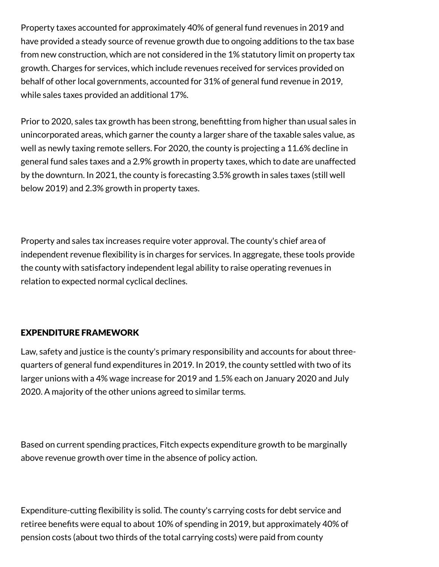Property taxes accounted for approximately 40% of general fund revenues in 2019 and have provided a steady source of revenue growth due to ongoing additions to the tax base from new construction, which are not considered in the 1% statutory limit on property tax growth. Charges for services, which include revenues received for services provided on behalf of other local governments, accounted for 31% of general fund revenue in 2019, while sales taxes provided an additional 17%.

Prior to 2020, sales tax growth has been strong, benefitting from higher than usual sales in unincorporated areas, which garner the county a larger share of the taxable sales value, as well as newly taxing remote sellers. For 2020, the county is projecting a 11.6% decline in general fund sales taxes and a 2.9% growth in property taxes, which to date are unaffected by the downturn. In 2021, the county is forecasting 3.5% growth in sales taxes (still well below 2019) and 2.3% growth in property taxes.

Property and sales tax increases require voter approval. The county's chief area of independent revenue flexibility is in charges for services. In aggregate, these tools provide the county with satisfactory independent legal ability to raise operating revenues in relation to expected normal cyclical declines.

# EXPENDITURE FRAMEWORK

Law, safety and justice is the county's primary responsibility and accounts for about threequarters of general fund expenditures in 2019. In 2019, the county settled with two of its larger unions with a 4% wage increase for 2019 and 1.5% each on January 2020 and July 2020. A majority of the other unions agreed to similar terms.

Based on current spending practices, Fitch expects expenditure growth to be marginally above revenue growth over time in the absence of policy action.

Expenditure-cutting flexibility is solid. The county's carrying costs for debt service and retiree benefits were equal to about 10% of spending in 2019, but approximately 40% of pension costs (about two thirds of the total carrying costs) were paid from county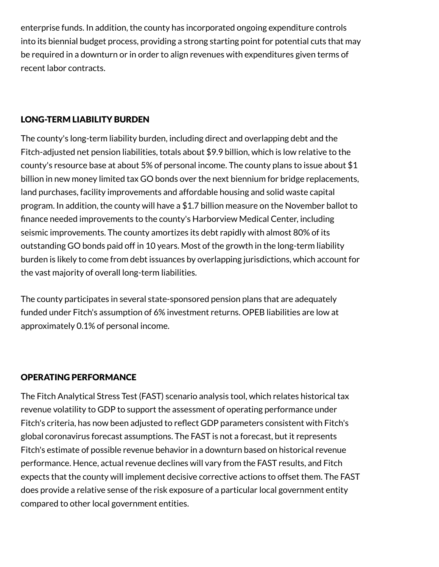enterprise funds. In addition, the county has incorporated ongoing expenditure controls into its biennial budget process, providing a strong starting point for potential cuts that may be required in a downturn or in order to align revenues with expenditures given terms of recent labor contracts.

# LONG-TERM LIABILITY BURDEN

The county's long-term liability burden, including direct and overlapping debt and the Fitch-adjusted net pension liabilities, totals about \$9.9 billion, which is low relative to the county's resource base at about 5% of personal income. The county plans to issue about \$1 billion in new money limited tax GO bonds over the next biennium for bridge replacements, land purchases, facility improvements and affordable housing and solid waste capital program. In addition, the county will have a \$1.7 billion measure on the November ballot to finance needed improvements to the county's Harborview Medical Center, including seismic improvements. The county amortizes its debt rapidly with almost 80% of its outstanding GO bonds paid off in 10 years. Most of the growth in the long-term liability burden is likely to come from debt issuances by overlapping jurisdictions, which account for the vast majority of overall long-term liabilities.

The county participates in several state-sponsored pension plans that are adequately funded under Fitch's assumption of 6% investment returns. OPEB liabilities are low at approximately 0.1% of personal income.

# OPERATING PERFORMANCE

The Fitch Analytical Stress Test (FAST) scenario analysis tool, which relates historical tax revenue volatility to GDP to support the assessment of operating performance under Fitch's criteria, has now been adjusted to reflect GDP parameters consistent with Fitch's global coronavirus forecast assumptions. The FAST is not a forecast, but it represents Fitch's estimate of possible revenue behavior in a downturn based on historical revenue performance. Hence, actual revenue declines will vary from the FAST results, and Fitch expects that the county will implement decisive corrective actions to offset them. The FAST does provide a relative sense of the risk exposure of a particular local government entity compared to other local government entities.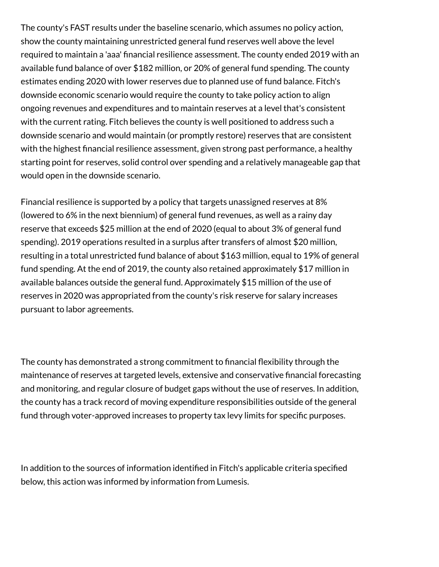The county's FAST results under the baseline scenario, which assumes no policy action, show the county maintaining unrestricted general fund reserves well above the level required to maintain a 'aaa' financial resilience assessment. The county ended 2019 with an available fund balance of over \$182 million, or 20% of general fund spending. The county estimates ending 2020 with lower reserves due to planned use of fund balance. Fitch's downside economic scenario would require the county to take policy action to align ongoing revenues and expenditures and to maintain reserves at a level that's consistent with the current rating. Fitch believes the county is well positioned to address such a downside scenario and would maintain (or promptly restore) reserves that are consistent with the highest financial resilience assessment, given strong past performance, a healthy starting point for reserves, solid control over spending and a relatively manageable gap that would open in the downside scenario.

Financial resilience is supported by a policy that targets unassigned reserves at 8% (lowered to 6% in the next biennium) of general fund revenues, as well as a rainy day reserve that exceeds \$25 million at the end of 2020 (equal to about 3% of general fund spending). 2019 operations resulted in a surplus after transfers of almost \$20 million, resulting in a total unrestricted fund balance of about \$163 million, equal to 19% of general fund spending. At the end of 2019, the county also retained approximately \$17 million in available balances outside the general fund. Approximately \$15 million of the use of reserves in 2020 was appropriated from the county's risk reserve for salary increases pursuant to labor agreements.

The county has demonstrated a strong commitment to financial flexibility through the maintenance of reserves at targeted levels, extensive and conservative financial forecasting and monitoring, and regular closure of budget gaps without the use of reserves. In addition, the county has a track record of moving expenditure responsibilities outside of the general fund through voter-approved increases to property tax levy limits for specific purposes.

In addition to the sources of information identified in Fitch's applicable criteria specified below, this action was informed by information from Lumesis.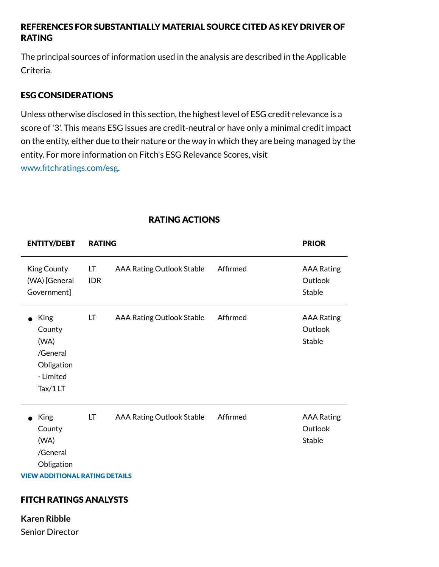# REFERENCES FOR SUBSTANTIALLY MATERIAL SOURCE CITED AS KEY DRIVER OF RATING

The principal sources of information used in the analysis are described in the Applicable Criteria.

# ESG CONSIDERATIONS

Unless otherwise disclosed in this section, the highest level of ESG credit relevance is a score of '3'. This means ESG issues are credit-neutral or have only a minimal credit impact on the entity, either due to their nature or the way in which they are being managed by the entity. For more information on Fitch's ESG Relevance Scores, visit [www.fitchratings.com/esg.](http://www.fitchratings.com/esg)

| <b>ENTITY/DEBT</b>                                                                                                      | <b>RATING</b>    |                                  |          | <b>PRIOR</b>                                  |
|-------------------------------------------------------------------------------------------------------------------------|------------------|----------------------------------|----------|-----------------------------------------------|
| King County<br>(WA) [General<br>Government]                                                                             | LT<br><b>IDR</b> | AAA Rating Outlook Stable        | Affirmed | <b>AAA Rating</b><br>Outlook<br>Stable        |
| <b>King</b><br>County<br>(WA)<br>/General<br>Obligation<br>- Limited<br>Tax/1LT                                         | LT               | AAA Rating Outlook Stable        | Affirmed | <b>AAA Rating</b><br>Outlook<br><b>Stable</b> |
| King<br>County<br>(WA)<br>/General<br>Obligation<br><b>VIEW ADDITIONAL RATING DETAILS</b><br>FITCULD ATILICS ALLA IVSTS | LT               | <b>AAA Rating Outlook Stable</b> | Affirmed | <b>AAA Rating</b><br>Outlook<br><b>Stable</b> |

# RATING ACTIONS

# FITCH RATINGS ANALYSTS

**Karen Ribble** Senior Director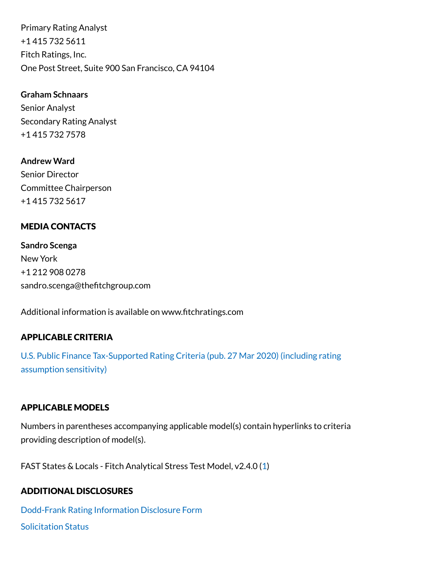Primary Rating Analyst +1 415 732 5611 Fitch Ratings, Inc. One Post Street, Suite 900 San Francisco, CA 94104

**Graham Schnaars** Senior Analyst Secondary Rating Analyst +1 415 732 7578

**Andrew Ward** Senior Director Committee Chairperson +1 415 732 5617

### MEDIA CONTACTS

**Sandro Scenga** New York +1 212 908 0278 sandro.scenga@thefitchgroup.com

Additional information is available on www.fitchratings.com

### APPLICABLE CRITERIA

U.S. Public Finance [Tax-Supported Rating](https://www.fitchratings.com/research/us-public-finance/us-public-finance-tax-supported-rating-criteria-27-03-2020) Criteria (pub. 27 Mar 2020) (including rating assumption sensitivity)

#### APPLICABLE MODELS

Numbers in parentheses accompanying applicable model(s) contain hyperlinks to criteria providing description of model(s).

FAST States & Locals - Fitch Analytical Stress Test Model, v2.4.0 ([1\)](https://www.fitchratings.com/site/re/970025)

### ADDITIONAL DISCLOSURES

[Dodd-Frank](https://www.fitchratings.com/research/us-public-finance/fitch-rates-king-county-wa-127mm-ltgo-bonds-aaa-outlook-stable-15-10-2020/dodd-frank-disclosure) Rating Information Disclosure Form [Solicitation](#page-13-0) Status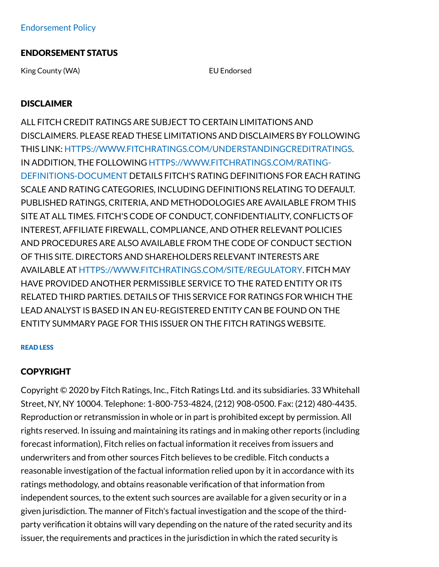## ENDORSEMENT STATUS

King County (WA) **EU Endorsed** 

# **DISCLAIMER**

ALL FITCH CREDIT RATINGS ARE SUBJECT TO CERTAIN LIMITATIONS AND DISCLAIMERS. PLEASE READ THESE LIMITATIONS AND DISCLAIMERS BY FOLLOWING THIS LINK: [HTTPS://WWW.FITCHRATINGS.COM/UNDERSTANDINGCREDITRATINGS](https://www.fitchratings.com/UNDERSTANDINGCREDITRATINGS). IN ADDITION, THE FOLLOWING [HTTPS://WWW.FITCHRATINGS.COM/RATING-](https://www.fitchratings.com/rating-definitions-document)DEFINITIONS-DOCUMENT DETAILS FITCH'S RATING DEFINITIONS FOR EACH RATING SCALE AND RATING CATEGORIES, INCLUDING DEFINITIONS RELATING TO DEFAULT. PUBLISHED RATINGS, CRITERIA, AND METHODOLOGIES ARE AVAILABLE FROM THIS SITE AT ALL TIMES. FITCH'S CODE OF CONDUCT, CONFIDENTIALITY, CONFLICTS OF INTEREST, AFFILIATE FIREWALL, COMPLIANCE, AND OTHER RELEVANT POLICIES AND PROCEDURES ARE ALSO AVAILABLE FROM THE CODE OF CONDUCT SECTION OF THIS SITE. DIRECTORS AND SHAREHOLDERS RELEVANT INTERESTS ARE AVAILABLE AT [HTTPS://WWW.FITCHRATINGS.COM/SITE/REGULATORY](https://www.fitchratings.com/site/regulatory). FITCH MAY HAVE PROVIDED ANOTHER PERMISSIBLE SERVICE TO THE RATED ENTITY OR ITS RELATED THIRD PARTIES. DETAILS OF THIS SERVICE FOR RATINGS FOR WHICH THE LEAD ANALYST IS BASED IN AN EU-REGISTERED ENTITY CAN BE FOUND ON THE ENTITY SUMMARY PAGE FOR THIS ISSUER ON THE FITCH RATINGS WEBSITE.

#### READ LESS

### COPYRIGHT

Copyright © 2020 by Fitch Ratings, Inc., Fitch Ratings Ltd. and its subsidiaries. 33 Whitehall Street, NY, NY 10004. Telephone: 1-800-753-4824, (212) 908-0500. Fax: (212) 480-4435. Reproduction or retransmission in whole or in part is prohibited except by permission. All rights reserved. In issuing and maintaining its ratings and in making other reports (including forecast information), Fitch relies on factual information it receives from issuers and underwriters and from other sources Fitch believes to be credible. Fitch conducts a reasonable investigation of the factual information relied upon by it in accordance with its ratings methodology, and obtains reasonable verification of that information from independent sources, to the extent such sources are available for a given security or in a given jurisdiction. The manner of Fitch's factual investigation and the scope of the thirdparty verification it obtains will vary depending on the nature of the rated security and its issuer, the requirements and practices in the jurisdiction in which the rated security is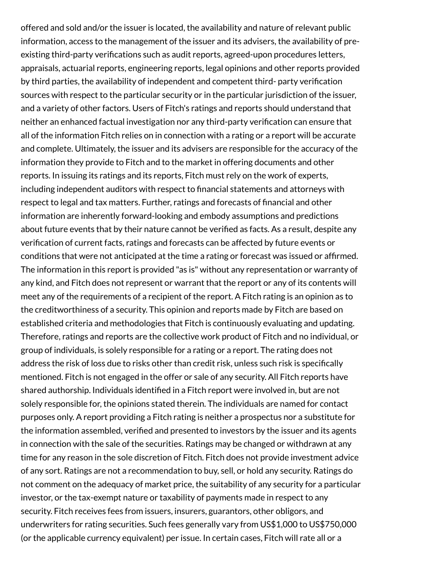offered and sold and/or the issuer is located, the availability and nature of relevant public information, access to the management of the issuer and its advisers, the availability of preexisting third-party verifications such as audit reports, agreed-upon procedures letters, appraisals, actuarial reports, engineering reports, legal opinions and other reports provided by third parties, the availability of independent and competent third- party verification sources with respect to the particular security or in the particular jurisdiction of the issuer, and a variety of other factors. Users of Fitch's ratings and reports should understand that neither an enhanced factual investigation nor any third-party verification can ensure that all of the information Fitch relies on in connection with a rating or a report will be accurate and complete. Ultimately, the issuer and its advisers are responsible for the accuracy of the information they provide to Fitch and to the market in offering documents and other reports. In issuing its ratings and its reports, Fitch must rely on the work of experts, including independent auditors with respect to financial statements and attorneys with respect to legal and tax matters. Further, ratings and forecasts of financial and other information are inherently forward-looking and embody assumptions and predictions about future events that by their nature cannot be verified as facts. As a result, despite any verification of current facts, ratings and forecasts can be affected by future events or conditions that were not anticipated at the time a rating or forecast was issued or affirmed. The information in this report is provided "as is" without any representation or warranty of any kind, and Fitch does not represent or warrant that the report or any of its contents will meet any of the requirements of a recipient of the report. A Fitch rating is an opinion as to the creditworthiness of a security. This opinion and reports made by Fitch are based on established criteria and methodologies that Fitch is continuously evaluating and updating. Therefore, ratings and reports are the collective work product of Fitch and no individual, or group of individuals, is solely responsible for a rating or a report. The rating does not address the risk of loss due to risks other than credit risk, unless such risk is specifically mentioned. Fitch is not engaged in the offer or sale of any security. All Fitch reports have shared authorship. Individuals identified in a Fitch report were involved in, but are not solely responsible for, the opinions stated therein. The individuals are named for contact purposes only. A report providing a Fitch rating is neither a prospectus nor a substitute for the information assembled, verified and presented to investors by the issuer and its agents in connection with the sale of the securities. Ratings may be changed or withdrawn at any time for any reason in the sole discretion of Fitch. Fitch does not provide investment advice of any sort. Ratings are not a recommendation to buy, sell, or hold any security. Ratings do not comment on the adequacy of market price, the suitability of any security for a particular investor, or the tax-exempt nature or taxability of payments made in respect to any security. Fitch receives fees from issuers, insurers, guarantors, other obligors, and underwriters for rating securities. Such fees generally vary from US\$1,000 to US\$750,000 (or the applicable currency equivalent) per issue. In certain cases, Fitch will rate all or a